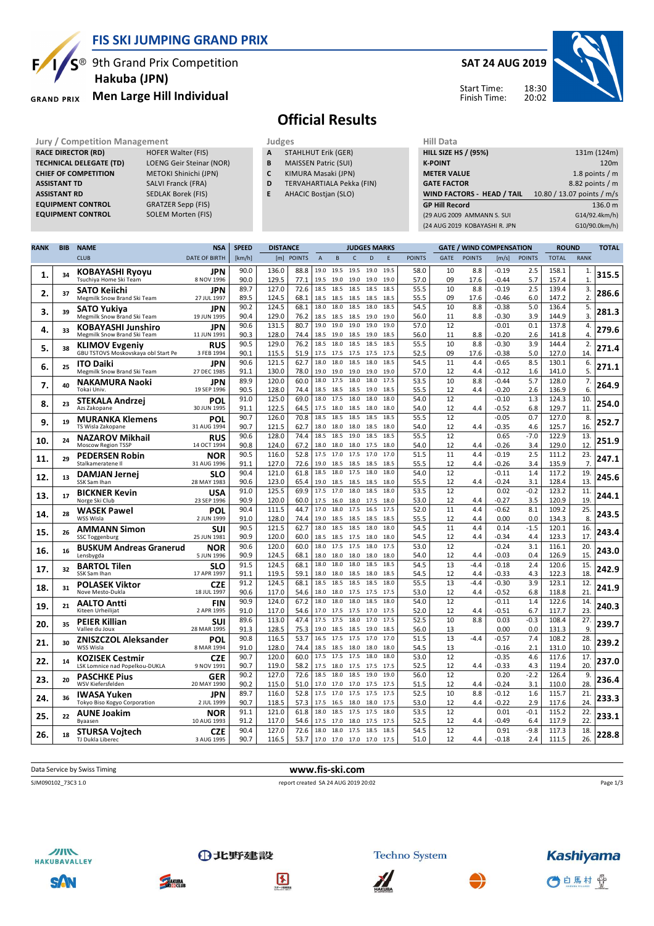

**EQUIPMENT CONTROL** 

### **FIS SKI JUMPING GRAND PRIX**

<sup>®</sup> 9th Grand Prix Competition  **Hakuba (JPN)**

**Men Large Hill Individual GRAND PRIX** 

**RACE DIRECTOR (RD)** HOFER Walter (FIS) **TECHNICAL DELEGATE (TD)** LOENG Geir Steinar (NOR) **CHIEF OF COMPETITION** METOKI Shinichi (JPN) **ASSISTANT TD** SALVI Franck (FRA) **ASSISTANT RD** SEDLAK Borek (FIS)<br>**EQUIPMENT CONTROL** GRATZER Sepp (FIS)

**EQUIPMENT CONTROL** SOLEM Morten (FIS)

### **SAT 24 AUG 2019**



**Kashiyama** 

○白馬村 骨

#### Start Time: Finish Time:

## **Official Results**

**Jury / Competition Management Management According Service Service Service According Service According Service According Service According Service According Service According Service According Service According Service Ac** 

- **A** STAHLHUT Erik (GER)
- **B** MAISSEN Patric (SUI)
- **C** KIMURA Masaki (JPN)
- **D** TERVAHARTIALA Pekka (FIN)
- **E** AHACIC Bostjan (SLO)

| <b>HILL SIZE HS / (95%)</b>   | 131m (124m)                |  |  |  |  |  |  |  |
|-------------------------------|----------------------------|--|--|--|--|--|--|--|
| <b>K-POINT</b>                | 120 <sub>m</sub>           |  |  |  |  |  |  |  |
| <b>METER VALUE</b>            | 1.8 points $/m$            |  |  |  |  |  |  |  |
| <b>GATE FACTOR</b>            | 8.82 points / m            |  |  |  |  |  |  |  |
|                               |                            |  |  |  |  |  |  |  |
| WIND FACTORS - HEAD / TAIL    | 10.80 / 13.07 points / m/s |  |  |  |  |  |  |  |
| <b>GP Hill Record</b>         | 136.0 m                    |  |  |  |  |  |  |  |
| (29 AUG 2009 AMMANN S. SUI    | G14/92.4km/h)              |  |  |  |  |  |  |  |
| (24 AUG 2019 KOBAYASHI R. JPN | G10/90.0km/h)              |  |  |  |  |  |  |  |

| <b>RANK</b> | <b>BIB</b> | <b>NAME</b>                                                  | <b>NSA</b>                | <b>SPEED</b> | <b>DISTANCE</b> |              |                |                     |                   | <b>JUDGES MARKS</b> |              |               |             | <b>GATE / WIND COMPENSATION</b> |                    |               | <b>ROUND</b>   |                    | <b>TOTAL</b> |
|-------------|------------|--------------------------------------------------------------|---------------------------|--------------|-----------------|--------------|----------------|---------------------|-------------------|---------------------|--------------|---------------|-------------|---------------------------------|--------------------|---------------|----------------|--------------------|--------------|
|             |            | <b>CLUB</b>                                                  | <b>DATE OF BIRTH</b>      | [km/h]       |                 | [m] POINTS   | $\overline{A}$ | B                   | $\mathsf{C}$      | D                   | E            | <b>POINTS</b> | <b>GATE</b> | <b>POINTS</b>                   | [m/s]              | <b>POINTS</b> | <b>TOTAL</b>   | <b>RANK</b>        |              |
| 1.          | 34         | <b>KOBAYASHI Ryoyu</b><br>Tsuchiya Home Ski Team             | JPN<br>8 NOV 1996         | 90.0<br>90.0 | 136.0<br>129.5  | 88.8<br>77.1 | 19.0           | 19.5<br>19.5 19.0   | 19.5<br>19.0      | 19.0<br>19.0        | 19.5<br>19.0 | 58.0<br>57.0  | 10<br>09    | 8.8<br>17.6                     | $-0.19$<br>$-0.44$ | 2.5<br>5.7    | 158.1<br>157.4 | 1.<br>$\mathbf{1}$ | 315.5        |
| 2.          | 37         | <b>SATO Keiichi</b>                                          | JPN<br>27 JUL 1997        | 89.7<br>89.5 | 127.0<br>124.5  | 72.6<br>68.1 | 18.5<br>18.5   | 18.5                | 18.5              | 18.5<br>18.5        | 18.5<br>18.5 | 55.5<br>55.5  | 10<br>09    | 8.8<br>17.6                     | $-0.19$<br>$-0.46$ | 2.5<br>6.0    | 139.4<br>147.2 | 3.<br>2.           | 286.6        |
|             |            | Megmilk Snow Brand Ski Team                                  |                           | 90.2         | 124.5           | 68.1         | 18.0           | 18.5<br>18.0        | 18.5<br>18.5      | 18.0                | 18.5         | 54.5          | 10          | 8.8                             | $-0.38$            | 5.0           | 136.4          | 5.                 |              |
| з.          | 39         | SATO Yukiya<br>Megmilk Snow Brand Ski Team                   | JPN<br>19 JUN 1995        | 90.4         | 129.0           | 76.2         | 18.5           | 18.5                | 18.5              | 19.0                | 19.0         | 56.0          | 11          | 8.8                             | $-0.30$            | 3.9           | 144.9          | 3.                 | 281.3        |
|             |            | <b>KOBAYASHI Junshiro</b>                                    | JPN                       | 90.6         | 131.5           | 80.7         | 19.0           | 19.0                | 19.0              | 19.0                | 19.0         | 57.0          | 12          |                                 | $-0.01$            | 0.1           | 137.8          | 4.                 |              |
| 4.          | 33         | Megmilk Snow Brand Ski Team                                  | 11 JUN 1991               | 90.3         | 128.0           | 74.4         | 18.5           | 19.0                | 18.5              | 19.0                | 18.5         | 56.0          | 11          | 8.8                             | $-0.20$            | 2.6           | 141.8          | 4                  | 279.6        |
| 5.          | 38         | <b>KLIMOV Evgeniy</b><br>GBU TSTOVS Moskovskaya obl Start Pe | <b>RUS</b><br>3 FEB 1994  | 90.5<br>90.1 | 129.0<br>115.5  | 76.2<br>51.9 | 18.5<br>17.5   | 18.0<br>17.5        | 18.5<br>17.5      | 18.5<br>17.5        | 18.5<br>17.5 | 55.5<br>52.5  | 10<br>09    | 8.8<br>17.6                     | $-0.30$<br>$-0.38$ | 3.9<br>5.0    | 144.4<br>127.0 | 2.<br>14           | 271.4        |
|             |            | <b>ITO Daiki</b>                                             | <b>JPN</b>                | 90.6         | 121.5           | 62.7         | 18.0           | 18.0                | 18.5              | 18.0                | 18.5         | 54.5          | 11          | 4.4                             | $-0.65$            | 8.5           | 130.1          | 6.                 |              |
| 6.          | 25         | Megmilk Snow Brand Ski Team                                  | 27 DEC 1985               | 91.1         | 130.0           | 78.0         | 19.0           | 19.0                | 19.0              | 19.0                | 19.0         | 57.0          | 12          | 4.4                             | $-0.12$            | 1.6           | 141.0          | 5.                 | 271.1        |
| 7.          | 40         | <b>NAKAMURA Naoki</b>                                        | JPN                       | 89.9         | 120.0           | 60.0         | 18.0           | 17.5                | 18.0              | 18.0                | 17.5         | 53.5          | 10          | 8.8                             | $-0.44$            | 5.7           | 128.0          | 7.                 | 264.9        |
|             |            | Tokai Univ.                                                  | 19 SEP 1996               | 90.5         | 128.0           | 74.4         | 18.5           | 18.5                | 18.5              | 19.0                | 18.5         | 55.5          | 12          | 4.4                             | $-0.20$            | 2.6           | 136.9          | 6.                 |              |
| 8.          | 23         | <b>STEKALA Andrzej</b><br>Azs Zakopane                       | POL<br>30 JUN 1995        | 91.0<br>91.1 | 125.0<br>122.5  | 69.0<br>64.5 | 18.0           | 17.5<br>17.5 18.0   | 18.0<br>18.5 18.0 | 18.0                | 18.0<br>18.0 | 54.0<br>54.0  | 12<br>12    | 4.4                             | $-0.10$<br>$-0.52$ | 1.3<br>6.8    | 124.3<br>129.7 | 10.<br>11          | 254.0        |
|             |            | <b>MURANKA Klemens</b>                                       | POL                       | 90.7         | 126.0           | 70.8         | 18.5           | 18.5                | 18.5              | 18.5                | 18.5         | 55.5          | 12          |                                 | $-0.05$            | 0.7           | 127.0          | 8.                 |              |
| 9.          | 19         | TS Wisla Zakopane                                            | 31 AUG 1994               | 90.7         | 121.5           | 62.7         |                | 18.0 18.0           | 18.0              | 18.5                | 18.0         | 54.0          | 12          | 4.4                             | -0.35              | 4.6           | 125.7          | 16                 | 252.7        |
| 10.         | 24         | <b>NAZAROV Mikhail</b>                                       | <b>RUS</b>                | 90.6         | 128.0           | 74.4         | 18.5           | 18.5                | 19.0              | 18.5                | 18.5         | 55.5          | 12          |                                 | 0.65               | $-7.0$        | 122.9          | 13.                | 251.9        |
|             |            | <b>Moscow Region TSSP</b>                                    | 14 OCT 1994               | 90.8         | 124.0           | 67.2         | 18.0           | 18.0                | 18.0              | 17.5                | 18.0         | 54.0          | 12          | 4.4                             | $-0.26$            | 3.4           | 129.0          | 12                 |              |
| 11.         | 29         | <b>PEDERSEN Robin</b>                                        | NOR                       | 90.5         | 116.0           | 52.8         |                | 17.5 17.0           | 17.5 17.0         |                     | 17.0         | 51.5          | 11          | 4.4                             | $-0.19$            | 2.5           | 111.2          | 23.                | 247.1        |
|             |            | Stalkameratene II                                            | 31 AUG 1996               | 91.1<br>90.4 | 127.0<br>121.0  | 72.6<br>61.8 | 19.0<br>18.5   | 18.5<br>18.0        | 18.5<br>17.5      | 18.5<br>18.0        | 18.5<br>18.0 | 55.5<br>54.0  | 12<br>12    | 4.4                             | $-0.26$<br>$-0.11$ | 3.4<br>1.4    | 135.9<br>117.2 | 7.<br>19           |              |
| 12.         | 13         | <b>DAMJAN Jernej</b><br>SSK Sam Ihan                         | SLO<br>28 MAY 1983        | 90.6         | 123.0           | 65.4         | 19.0           | 18.5                | 18.5              | 18.5                | 18.0         | 55.5          | 12          | 4.4                             | $-0.24$            | 3.1           | 128.4          | 13                 | 245.6        |
|             |            | <b>BICKNER Kevin</b>                                         | USA                       | 91.0         | 125.5           | 69.9         | 17.5           | 17.0                | 18.0              | 18.5                | 18.0         | 53.5          | 12          |                                 | 0.02               | $-0.2$        | 123.2          | 11                 |              |
| 13.         | 17         | Norge Ski Club                                               | 23 SEP 1996               | 90.9         | 120.0           | 60.0         |                | 17.5 16.0           | 18.0 17.5         |                     | 18.0         | 53.0          | 12          | 4.4                             | -0.27              | 3.5           | 120.9          | 19                 | 244.1        |
| 14.         | 28         | <b>WASEK Pawel</b>                                           | POL                       | 90.4         | 111.5           | 44.7         | 17.0           | 18.0                | 17.5              | 16.5                | 17.5         | 52.0          | 11          | 4.4                             | $-0.62$            | 8.1           | 109.2          | 25.                | 243.5        |
|             |            | WSS Wisla                                                    | 2 JUN 1999                | 91.0         | 128.0           | 74.4         | 19.0           | 18.5                | 18.5              | 18.5                | 18.5         | 55.5          | 12          | 4.4                             | 0.00               | 0.0           | 134.3          | 8.                 |              |
| 15.         | 26         | <b>AMMANN Simon</b><br>SSC Toggenburg                        | SUI<br>25 JUN 1981        | 90.5<br>90.9 | 121.5<br>120.0  | 62.7<br>60.0 | 18.0           | 18.5<br>18.5 18.5   | 18.5<br>17.5      | 18.0<br>18.0        | 18.0<br>18.0 | 54.5<br>54.5  | 11<br>12    | 4.4<br>4.4                      | 0.14<br>$-0.34$    | $-1.5$<br>4.4 | 120.1<br>123.3 | 16.<br>17.         | 243.4        |
|             |            |                                                              | <b>NOR</b>                | 90.6         | 120.0           | 60.0         | 18.0           | 17.5                | 17.5              | 18.0                | 17.5         | 53.0          | 12          |                                 | $-0.24$            | 3.1           | 116.1          | 20                 |              |
| 16.         | 16         | <b>BUSKUM Andreas Granerud</b><br>Lensbygda                  | 5 JUN 1996                | 90.9         | 124.5           | 68.1         | 18.0           | 18.0                | 18.0              | 18.0                | 18.0         | 54.0          | 12          | 4.4                             | $-0.03$            | 0.4           | 126.9          | 15                 | 243.0        |
| 17.         | 32         | <b>BARTOL Tilen</b>                                          | <b>SLO</b>                | 91.5         | 124.5           | 68.1         | 18.0           | 18.0                | 18.0              | 18.5                | 18.5         | 54.5          | 13          | $-4.4$                          | $-0.18$            | 2.4           | 120.6          | 15                 | 242.9        |
|             |            | SSK Sam Ihan                                                 | 17 APR 1997               | 91.1         | 119.5           | 59.1         |                | 18.0 18.0           | 18.5 18.0         |                     | 18.5         | 54.5          | 12          | 4.4                             | $-0.33$            | 4.3           | 122.3          | 18                 |              |
| 18.         | 31         | <b>POLASEK Viktor</b>                                        | <b>CZE</b>                | 91.2         | 124.5           | 68.1         | 18.5           | 18.5                | 18.5              | 18.5                | 18.0         | 55.5          | 13          | $-4.4$                          | $-0.30$            | 3.9           | 123.1          | 12.                | 241.9        |
|             |            | Nove Mesto-Dukla                                             | 18 JUL 1997               | 90.6<br>90.9 | 117.0<br>124.0  | 54.6<br>67.2 | 18.0<br>18.0   | 18.0<br>18.0        | 17.5 17.5<br>18.0 | 18.5                | 17.5<br>18.0 | 53.0<br>54.0  | 12<br>12    | 4.4                             | $-0.52$<br>$-0.11$ | 6.8<br>1.4    | 118.8<br>122.6 | 21<br>14           |              |
| 19          | 21         | <b>AALTO Antti</b><br>Kiteen Urheilijat                      | <b>FIN</b><br>2 APR 1995  | 91.0         | 117.0           | 54.6         | 17.0           | 17.5                | 17.5              | 17.0                | 175          | 52.0          | 12          | 4.4                             | $-0.51$            | 6.7           | 117.7          | 23.                | 240.3        |
|             |            | <b>PEIER Killian</b>                                         | SUI                       | 89.6         | 113.0           | 47.4         | 17.5           | 17.5                | 18.0              | 17.0                | 17.5         | 52.5          | 10          | 8.8                             | 0.03               | $-0.3$        | 108.4          | 27.                | 239.7        |
| 20.         | 35         | Vallee du Joux                                               | 28 MAR 1995               | 91.3         | 128.5           | 75.3         | 19.0           | 18.5                | 18.5 19.0         |                     | 18.5         | 56.0          | 13          |                                 | 0.00               | 0.0           | 131.3          | 9.                 |              |
| 21.         | 30         | <b>ZNISZCZOL Aleksander</b>                                  | POL                       | 90.8         | 116.5           | 53.7         | 16.5           | 17.5                | 17.5              | 17.0                | 17.0         | 51.5          | 13          | $-4.4$                          | $-0.57$            | 7.4           | 108.2          | 28                 | 239.2        |
|             |            | WSS Wisla                                                    | 8 MAR 1994                | 91.0<br>90.7 | 128.0<br>120.0  | 74.4<br>60.0 | 17.5           | 18.5 18.5<br>17.5   | 18.0<br>17.5      | 18.0<br>18.0        | 18.0<br>18.0 | 54.5<br>53.0  | 13<br>12    |                                 | $-0.16$<br>$-0.35$ | 2.1<br>4.6    | 131.0<br>117.6 | 10<br>17.          |              |
| 22.         | 14         | <b>KOZISEK Cestmir</b><br>LSK Lomnice nad Popelkou-DUKLA     | <b>CZE</b><br>9 NOV 1991  | 90.7         | 119.0           | 58.2         |                | 17.5 18.0           | 17.5 17.5         |                     | 17.5         | 52.5          | 12          | 4.4                             | $-0.33$            | 4.3           | 119.4          | 20                 | 237.0        |
|             |            | <b>PASCHKE Pius</b>                                          | GER                       | 90.2         | 127.0           | 72.6         | 18.5           | 18.0                | 18.5              | 19.0                | 19.0         | 56.0          | 12          |                                 | 0.20               | $-2.2$        | 126.4          | 9.                 |              |
| 23.         | 20         | WSV Kiefersfelden                                            | 20 MAY 1990               | 90.2         | 115.0           | 51.0         |                | 17.0 17.0           | 17.0 17.5         |                     | 17.5         | 51.5          | 12          | 4.4                             | $-0.24$            | 3.1           | 110.0          | 28                 | 236.4        |
| 24.         | 36         | <b>IWASA Yuken</b>                                           | JPN                       | 89.7         | 116.0           | 52.8         | 17.5           | 17.0                | 17.5              | 17.5                | 17.5         | 52.5          | 10          | 8.8                             | $-0.12$            | 1.6           | 115.7          | 21.                | 233.3        |
|             |            | Tokyo Biso Kogyo Corporation                                 | 2 JUL 1999                | 90.7         | 118.5           | 57.3         | 17.5           | 16.5                | 18.0              | 18.0                | 17.5         | 53.0          | 12          | 4.4                             | $-0.22$            | 2.9           | 117.6          | 24                 |              |
| 25.         | 22         | <b>AUNE Joakim</b><br>Byaasen                                | <b>NOR</b><br>10 AUG 1993 | 91.1<br>91.2 | 121.0<br>117.0  | 61.8<br>54.6 | 18.0<br>17.5   | 18.5<br>17.0        | 17.5<br>18.0      | 17.5<br>17.5        | 18.0<br>17.5 | 53.5<br>52.5  | 12<br>12    | 4.4                             | 0.01<br>$-0.49$    | $-0.1$<br>6.4 | 115.2<br>117.9 | 22.<br>22          | 233.1        |
|             |            | <b>STURSA Voitech</b>                                        | <b>CZE</b>                | 90.4         | 127.0           | 72.6         | 18.0           | 18.0                | 17.5              | 18.5                | 18.5         | 54.5          | 12          |                                 | 0.91               | $-9.8$        | 117.3          | 18.                |              |
| 26.         | 18         | TJ Dukla Liberec                                             | 3 AUG 1995                | 90.7         | 116.5           | 53.7         |                | 17.0 17.0 17.0 17.0 |                   |                     | 17.5         | 51.0          | 12          | 4.4                             | $-0.18$            | 2.4           | 111.5          | 26.                | 228.8        |

# Data Service by Swiss Timing **www.fis-ski.com** SJM090102\_73C3 1.0 report created SA 24 AUG 2019 20:02 Page 1/3



SAN





①北野建設



H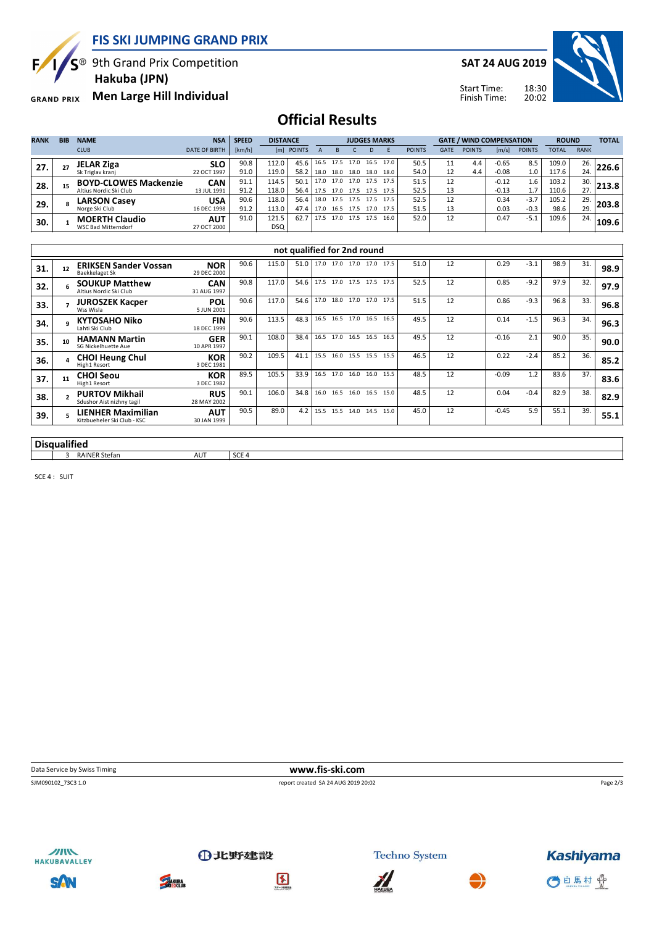Б,

**FIS SKI JUMPING GRAND PRIX**

<sup>®</sup> 9th Grand Prix Competition  **Hakuba (JPN)**

**Men Large Hill Individual GRAND PRIX** 

**SAT 24 AUG 2019**

Start Time:



Finish Time:

## **Official Results**

| <b>RANK</b> | <b>BIB</b> | <b>NAME</b>                  | <b>NSA</b>           | <b>SPEED</b> |            | <b>DISTANCE</b> |           |      | <b>JUDGES MARKS</b> |      |      |               |             |               | <b>GATE / WIND COMPENSATION</b> |               |              |             | <b>TOTAL</b> |
|-------------|------------|------------------------------|----------------------|--------------|------------|-----------------|-----------|------|---------------------|------|------|---------------|-------------|---------------|---------------------------------|---------------|--------------|-------------|--------------|
|             |            | <b>CLUB</b>                  | <b>DATE OF BIRTH</b> | [km/h]       |            | [m] POINTS      |           |      |                     |      |      | <b>POINTS</b> | <b>GATE</b> | <b>POINTS</b> | [m/s]                           | <b>POINTS</b> | <b>TOTAL</b> | <b>RANK</b> |              |
| 27.         | 27         | <b>JELAR Ziga</b>            | <b>SLO</b>           | 90.8         | 112.0      | 45.6            | 16.5 17.5 |      | 17.0                | 16.5 | 17.0 | 50.5          |             | 4.4           | $-0.65$                         | 8.5           | 109.0        | 26.         | 226.6        |
|             |            | Sk Triglav kranj             | 22 OCT 1997          | 91.0         | 119.0      | 58.2            | 18.0      | 18.0 | 18.0                | 18.0 | 18.0 | 54.0          | 12          | 4.4           | $-0.08$                         | 1.0           | 117.6        | 24.         |              |
| 28.         | 15         | <b>BOYD-CLOWES Mackenzie</b> | <b>CAN</b>           | 91.1         | 114.5      | 50.1            | 17.0      | 17.0 | 17.0 17.5           |      | 17.5 | 51.5          |             |               | $-0.12$                         | 1.6           | 103.2        | 30.         | 213.8        |
|             |            | Altius Nordic Ski Club       | 13 JUL 1991          | 91.2         | 118.0      | 56.4            | 17.5      | 17.0 | 17.5 17.5           |      | 17.5 | 52.5          | 13          |               | $-0.13$                         | 1.7           | 110.6        | 27.         |              |
| 29.         |            | <b>LARSON Casey</b>          | <b>USA</b>           | 90.6         | 118.0      | 56.4            | 18.0 17.5 |      | 17.5                | 17.5 | 17.5 | 52.5          | 12          |               | 0.34                            | $-3.7$        | 105.2        | 29.         | 203.8        |
|             |            | Norge Ski Club               | 16 DEC 1998          | 91.2         | 113.0      | 47.4            |           |      | 17.0 16.5 17.5 17.0 |      | 17.5 | 51.5          | 13          |               | 0.03                            | $-0.3$        | 98.6         | 29.         |              |
| 30.         |            | <b>MOERTH Claudio</b>        | <b>AUT</b>           | 91.0         | 121.5      | 62.7            | 17.5      | 17.0 | 17.5                | 17.5 | 16.0 | 52.0          | 12          |               | 0.47                            | $-5.1$        | 109.6        | 24.         | 109.6        |
|             |            | <b>WSC Bad Mitterndorf</b>   | 27 OCT 2000          |              | <b>DSQ</b> |                 |           |      |                     |      |      |               |             |               |                                 |               |              |             |              |

|     | not qualified for 2nd round |                                                          |                           |      |       |      |      |                          |           |  |      |      |    |         |        |      |     |      |
|-----|-----------------------------|----------------------------------------------------------|---------------------------|------|-------|------|------|--------------------------|-----------|--|------|------|----|---------|--------|------|-----|------|
| 31. | 12                          | <b>ERIKSEN Sander Vossan</b><br>Baekkelaget Sk           | <b>NOR</b><br>29 DEC 2000 | 90.6 | 115.0 | 51.0 |      | 17.0 17.0 17.0 17.0      |           |  | 17.5 | 51.0 | 12 | 0.29    | $-3.1$ | 98.9 | 31. | 98.9 |
| 32. |                             | <b>SOUKUP Matthew</b><br>Altius Nordic Ski Club          | <b>CAN</b><br>31 AUG 1997 | 90.8 | 117.0 | 54.6 |      | 17.5 17.0 17.5 17.5 17.5 |           |  |      | 52.5 | 12 | 0.85    | $-9.2$ | 97.9 | 32. | 97.9 |
| 33. |                             | <b>JUROSZEK Kacper</b><br>Wss Wisla                      | <b>POL</b><br>5 JUN 2001  | 90.6 | 117.0 | 54.6 |      | 17.0 18.0 17.0 17.0      |           |  | 17.5 | 51.5 | 12 | 0.86    | $-9.3$ | 96.8 | 33. | 96.8 |
| 34. |                             | <b>KYTOSAHO Niko</b><br>Lahti Ski Club                   | <b>FIN</b><br>18 DEC 1999 | 90.6 | 113.5 | 48.3 |      | 16.5 16.5 17.0 16.5      |           |  | 16.5 | 49.5 | 12 | 0.14    | $-1.5$ | 96.3 | 34. | 96.3 |
| 35. | 10                          | <b>HAMANN Martin</b><br>SG Nickelhuette Aue              | <b>GER</b><br>10 APR 1997 | 90.1 | 108.0 | 38.4 |      | 16.5 17.0 16.5 16.5      |           |  | 16.5 | 49.5 | 12 | $-0.16$ | 2.1    | 90.0 | 35. | 90.0 |
| 36. |                             | <b>CHOI Heung Chul</b><br>High1 Resort                   | <b>KOR</b><br>3 DEC 1981  | 90.2 | 109.5 | 41.1 | 15.5 | 16.0 15.5 15.5           |           |  | 15.5 | 46.5 | 12 | 0.22    | $-2.4$ | 85.2 | 36. | 85.2 |
| 37. | 11                          | <b>CHOI Seou</b><br>High1 Resort                         | <b>KOR</b><br>3 DEC 1982  | 89.5 | 105.5 | 33.9 |      | 16.5 17.0 16.0 16.0      |           |  | 15.5 | 48.5 | 12 | $-0.09$ | 1.2    | 83.6 | 37. | 83.6 |
| 38. | $\mathbf{r}$                | <b>PURTOV Mikhail</b><br>Sdushor Aist nizhny tagil       | <b>RUS</b><br>28 MAY 2002 | 90.1 | 106.0 | 34.8 | 16.0 | 16.5                     | 16.0 16.5 |  | 15.0 | 48.5 | 12 | 0.04    | $-0.4$ | 82.9 | 38. | 82.9 |
| 39. |                             | <b>LIENHER Maximilian</b><br>Kitzbueheler Ski Club - KSC | <b>AUT</b><br>30 JAN 1999 | 90.5 | 89.0  | 4.2  |      | 15.5 15.5 14.0 14.5      |           |  | 15.0 | 45.0 | 12 | $-0.45$ | 5.9    | 55.1 | 39. | 55.1 |
|     |                             |                                                          |                           |      |       |      |      |                          |           |  |      |      |    |         |        |      |     |      |

#### **Disqualified** a RAINER Stefan AUT SCE 4

SCE 4 : SUIT

**Data Service by Swiss Timing WWW.fis-ski.com** 

SJM090102\_73C3 1.0 report created SA 24 AUG 2019 20:02

Page 2/3



SAN



**THAKUBA** 



①北野建設